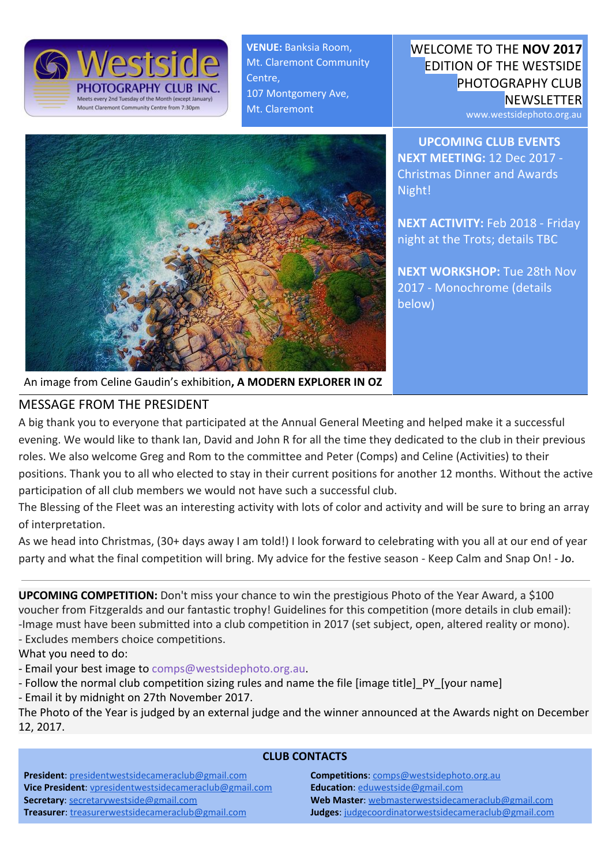

**VENUE:** Banksia Room, Mt. Claremont Community Centre, 107 Montgomery Ave, Mt. Claremont



www.westsidephoto.org.au

**UPCOMING CLUB EVENTS NEXT MEETING:** 12 Dec 2017 - Christmas Dinner and Awards Night!

**NEXT ACTIVITY:** Feb 2018 - Friday night at the Trots; details TBC

**NEXT WORKSHOP:** Tue 28th Nov 2017 - Monochrome (details below)



#### An image from Celine Gaudin's exhibition**, A MODERN EXPLORER IN OZ**

### MESSAGE FROM THE PRESIDENT

A big thank you to everyone that participated at the Annual General Meeting and helped make it a successful evening. We would like to thank Ian, David and John R for all the time they dedicated to the club in their previous roles. We also welcome Greg and Rom to the committee and Peter (Comps) and Celine (Activities) to their positions. Thank you to all who elected to stay in their current positions for another 12 months. Without the active participation of all club members we would not have such a successful club.

The Blessing of the Fleet was an interesting activity with lots of color and activity and will be sure to bring an array of interpretation.

As we head into Christmas, (30+ days away I am told!) I look forward to celebrating with you all at our end of year party and what the final competition will bring. My advice for the festive season - Keep Calm and Snap On! - Jo.

**UPCOMING COMPETITION:** Don't miss your chance to win the prestigious Photo of the Year Award, a \$100 voucher from Fitzgeralds and our fantastic trophy! Guidelines for this competition (more details in club email): -Image must have been submitted into a club competition in 2017 (set subject, open, altered reality or mono).

- Excludes members choice competitions.

What you need to do:

- Email your best image to comps@westsidephoto.org.au.
- Follow the normal club competition sizing rules and name the file [image title]\_PY\_[your name]
- Email it by midnight on 27th November 2017.

The Photo of the Year is judged by an external judge and the winner announced at the Awards night on December 12, 2017.

#### **CLUB CONTACTS**

**President**: [presidentwestsidecameraclub@gmail.com](mailto:presidentwestsidecameraclub@gmail.com) **Vice President**: [vpresidentwestsidecameraclub@gmail.com](mailto:vpresidentwestsidecameraclub@gmail.com) **Secretary**: [secretarywestside@gmail.com](mailto:secretarywestside@gmail.com) **Treasurer**: [treasurerwestsidecameraclub@gmail.com](mailto:treasurerwestsidecameraclub@gmail.com)

**Competitions**: [comps@westsidephoto.org.au](mailto:comps@westsidephoto.org.au) **Education**: [eduwestside@gmail.com](mailto:eduwestside@gmail.com) **Web Master**: [webmasterwestsidecameraclub@gmail.com](mailto:webmasterwestsidecameraclub@gmail.com) **Judges**: [judgecoordinatorwestsidecameraclub@gmail.com](mailto:judgecoordinatorwestsidecameraclub@gmail.com)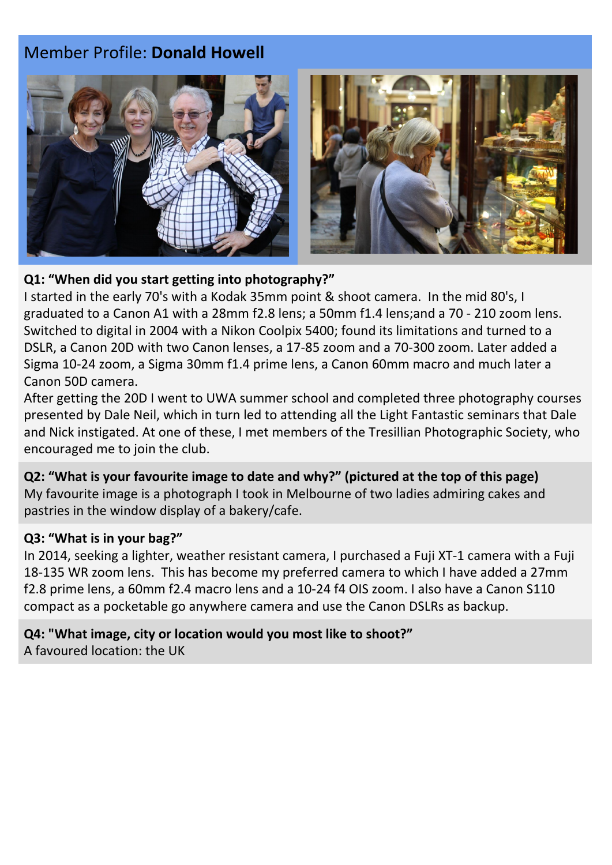# Member Profile: **Donald Howell**



### **Q1: "When did you start getting into photography?"**

I started in the early 70's with a Kodak 35mm point & shoot camera. In the mid 80's, I graduated to a Canon A1 with a 28mm f2.8 lens; a 50mm f1.4 lens;and a 70 - 210 zoom lens. Switched to digital in 2004 with a Nikon Coolpix 5400; found its limitations and turned to a DSLR, a Canon 20D with two Canon lenses, a 17-85 zoom and a 70-300 zoom. Later added a Sigma 10-24 zoom, a Sigma 30mm f1.4 prime lens, a Canon 60mm macro and much later a Canon 50D camera.

After getting the 20D I went to UWA summer school and completed three photography courses presented by Dale Neil, which in turn led to attending all the Light Fantastic seminars that Dale and Nick instigated. At one of these, I met members of the Tresillian Photographic Society, who encouraged me to join the club.

## **Q2: "What is your favourite image to date and why?" (pictured at the top of this page)**

My favourite image is a photograph I took in Melbourne of two ladies admiring cakes and pastries in the window display of a bakery/cafe.

### **Q3: "What is in your bag?"**

In 2014, seeking a lighter, weather resistant camera, I purchased a Fuji XT-1 camera with a Fuji 18-135 WR zoom lens. This has become my preferred camera to which I have added a 27mm f2.8 prime lens, a 60mm f2.4 macro lens and a 10-24 f4 OIS zoom. I also have a Canon S110 compact as a pocketable go anywhere camera and use the Canon DSLRs as backup.

**Q4: "What image, city or location would you most like to shoot?"** A favoured location: the UK